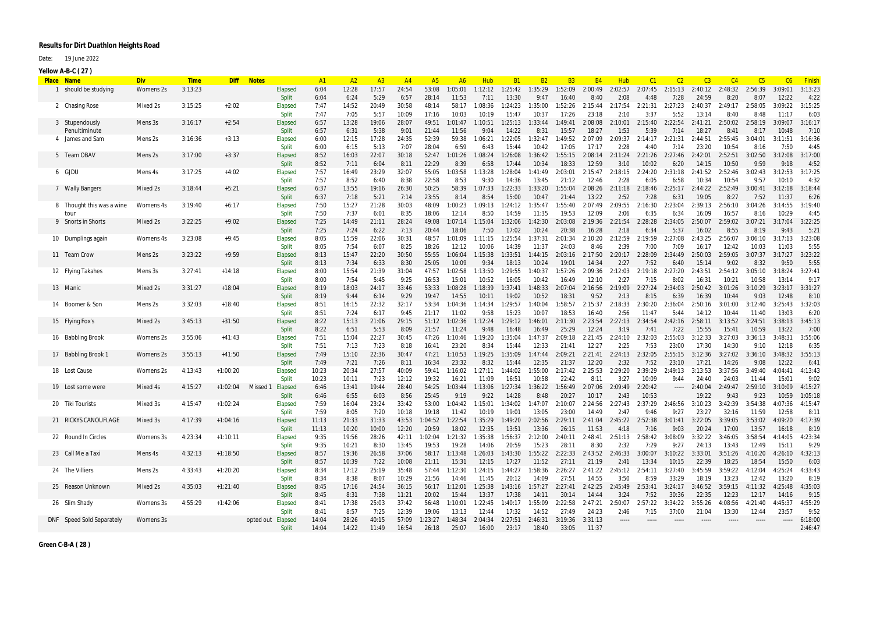## **Results for Dirt Duathlon Heights Road**

Date: 19 June 2022

| <b>Place Name</b>         | <b>Div</b> | <b>Time</b> |            | Diff Notes              | A1             | A2             | A <sub>3</sub> | A <sup>4</sup> | A5             | A6               | Hub              | <b>B1</b>                                   | <b>B2</b>        | <b>B3</b>        | <b>B4</b>        | <b>Hub</b>      | C <sub>1</sub>   | C <sub>2</sub>  |                                         | C <sub>4</sub>      | C <sub>5</sub>   |                  | <b>Finish</b>   |
|---------------------------|------------|-------------|------------|-------------------------|----------------|----------------|----------------|----------------|----------------|------------------|------------------|---------------------------------------------|------------------|------------------|------------------|-----------------|------------------|-----------------|-----------------------------------------|---------------------|------------------|------------------|-----------------|
| 1 should be studying      | Womens 2s  | 3:13:23     |            | Elapsed                 | 6:04           | 12:28          | 17:57          | 24:54          | 53:08          | 1:05:01          | 1:12:12          | 1:25:42                                     | 1:35:29          | 1:52:09          | 2:00:49          | 2:02:57         | 2:07:45          | 2:15:13         | 2:40:12 2:48:32                         |                     | 2:56:39          | 3:09:01          | 3:13:23         |
|                           |            |             |            | <b>Split</b>            | 6:04           | 6:24           | 5:29           | 6:57           | 28:14          | 11:53            | 7:11             | 13:30                                       | 9:47             | 16:40            | 8:40             | 2:08            | 4:48             | 7:28            | 24:59                                   | 8:20                | 8:07             | 12:22            | 4:22            |
| 2 Chasing Rose            | Mixed 2s   | 3:15:25     | $+2:02$    | Elapsed                 | 7:47           | 14:52          | 20:49          | 30:58          | 48:14          | 58:17            | 1:08:36          | 1:24:23                                     | 1:35:00          | 1:52:26          | 2:15:44          | 2:17:54         | 2:21:31          | 2:27:23         | 2:40:37                                 | 2:49:17             | 2:58:05          | 3:09:22          | 3:15:25         |
|                           |            |             |            | Split                   | 7:47           | 7:05           | 5:57           | 10:09          | 17:16          | 10:03            | 10:19            | 15:47                                       | 10:37            | 17:26            | 23:18            | 2:10            | 3:37             | 5:52            | 13:14                                   | 8:40                | 8:48             | 11:17            | 6:03            |
| 3 Stupendously            | Mens 3s    | 3:16:17     | $+2:54$    | Elapsed                 | 6:57           | 13:28          | 19:06          | 28:07          | 49:51          | 1:01:47          | 1:10:51          | 1:25:13                                     | 1:33:44          | 1:49:41          | 2:08:08          | 2:10:01         | 2:15:40          | 2:22:54         | 2:41:21                                 | 2:50:02             | 2:58:19          | 3:09:07          | 3:16:17         |
| Penultiminute             |            |             |            | Split                   | 6:57           | 6:31           | 5:38           | 9:01           | 21:44          | 11:56            | 9:04             | 14:22                                       | 8:31             | 15:57            | 18:27            | 1:53            | 5:39             | 7:14            | 18:27                                   | 8:41                | 8:17             | 10:48            | 7:10            |
| 4 James and Sam           | Mens 2s    | 3:16:36     | $+3:13$    | Elapsed                 | 6:00           | 12:15          | 17:28          | 24:35          | 52:39          | 59:38            | 1:06:21          | 1:22:05                                     | 1:32:47          | 1:49:52          | 2:07:09          | 2:09:37         | 2:14:17          | 2:21:31         | 2:44:51                                 | 2:55:45             | 3:04:01          | 3:11:51          | 3:16:36         |
|                           |            |             |            | Split                   | 6:00           | 6:15           | 5:13           | 7:07           | 28:04          | 6:59             | 6:43             | 15:44                                       | 10:42            | 17:05            | 17:17            | 2:28            | 4:40             | 7:14            | 23:20                                   | 10:54               | 8:16             | 7:50             | 4:45            |
| 5 Team OBAV               | Mens 2s    | 3:17:00     | $+3:37$    | Elapsed                 | 8:52           | 16:03          | 22:07          | 30:18          | 52:47          | 1:01:26          | 1:08:24          | 1:26:08                                     | 1:36:42          | 1:55:15          | 2:08:14          | 2:11:24         | 2:21:26          | 2:27:46         | 2:42:01                                 | 2:52:51             | 3:02:50          | 3:12:08          | 3:17:00         |
|                           |            |             |            | <b>Split</b>            | 8:52           | 7:11           | 6:04           | 8:11<br>32:07  | 22:29<br>55:05 | 8:39             | 6:58<br>1:13:28  | 17:44<br>1:28:04                            | 10:34            | 18:33            | 12:59<br>2:15:47 | 3:10            | 10:02            | 6:20            | 14:15                                   | 10:50<br>2:52:46    | 9:59<br>3:02:43  | 9:18<br>3:12:53  | 4:52<br>3:17:25 |
| 6 GJDU                    | Mens 4s    | 3:17:25     | $+4:02$    | Elapsed<br>Split        | 7:57<br>7:57   | 16:49<br>8:52  | 23:29<br>6:40  | 8:38           | 22:58          | 1:03:58<br>8:53  | 9:30             | 14:36                                       | 1:41:49<br>13:45 | 2:03:01<br>21:12 | 12:46            | 2:18:15<br>2:28 | 2:24:20<br>6:05  | 2:31:18<br>6:58 | 2:41:52<br>10:34                        | 10:54               | 9:57             | 10:10            | 4:32            |
| 7 Wally Bangers           | Mixed 2s   | 3:18:44     | $+5:21$    | Elapsed                 | 6:37           | 13:55          | 19:16          | 26:30          | 50:25          | 58:39            | 1:07:33          | 1:22:33                                     | 1:33:20          | 1:55:04          | 2:08:26          | 2:11:18         | 2:18:46          | 2:25:17         | 2:44:22                                 | 2:52:49             | 3:00:41          | 3:12:18          | 3:18:44         |
|                           |            |             |            | Split                   | 6:37           | 7:18           | 5:21           | 7:14           | 23:55          | 8:14             | 8:54             | 15:00                                       | 10:47            | 21:44            | 13:22            | 2:52            | 7:28             | 6:31            | 19:05                                   | 8:27                | 7:52             | 11:37            | 6:26            |
| 8 Thought this was a wine | Womens 4s  | 3:19:40     | $+6:17$    | Elapsed                 | 7:50           | 15:27          | 21:28          | 30:03          | 48:09          | 1:00:23          | 1:09:13          | 1:24:12                                     | 1:35:47          | 1:55:40          | 2:07:49          | 2:09:55         | 2:16:30          | 2:23:04         | 2:39:13                                 | 2:56:10             | 3:04:26          | 3:14:55          | 3:19:40         |
| tour                      |            |             |            | Split                   | 7:50           | 7:37           | 6:01           | 8:35           | 18:06          | 12:14            | 8:50             | 14:59                                       | 11:35            | 19:53            | 12:09            | 2:06            | 6:35             | 6:34            | 16:09                                   | 16:57               | 8:16             | 10:29            | 4:45            |
| 9 Snorts in Shorts        | Mixed 2s   | 3:22:25     | $+9:02$    | Elapsed                 | 7:25           | 14:49          | 21:11          | 28:24          | 49:08          | 1:07:14          | 1:15:04          | 1:32:06                                     | 1:42:30          | 2:03:08          | 2:19:36          | 2:21:54         | 2:28:28          | 2:34:05         | 2:50:07                                 | 2:59:02             | 3:07:21          | 3:17:04          | 3:22:25         |
|                           |            |             |            | Split                   | 7:25           | 7:24           | 6:22           | 7:13           | 20:44          | 18:06            | 7:50             | 17:02                                       | 10:24            | 20:38            | 16:28            | 2:18            | 6:34             | 5:37            | 16:02                                   | 8:55                | 8:19             | 9:43             | 5:21            |
| 10 Dumplings again        | Womens 4s  | 3:23:08     | $+9:45$    | Elapsed                 | 8:05           | 15:59          | 22:06          | 30:31          | 48:57          | 1:01:09          | 1:11:15          | 1:25:54                                     | 1:37:31          | 2:01:34          | 2:10:20          | 2:12:59         | 2:19:59          | 2:27:08         | 2:43:25                                 | 2:56:07             | 3:06:10          | 3:17:13          | 3:23:08         |
|                           |            |             |            | Split                   | 8:05           | 7:54           | 6:07           | 8:25           | 18:26          | 12:12            | 10:06            | 14:39                                       | 11:37            | 24:03            | 8:46             | 2:39            | 7:00             | 7:09            | 16:17                                   | 12:42               | 10:03            | 11:03            | 5:55            |
| 11 Team Crow              | Mens 2s    | 3:23:22     | $+9:59$    | Elapsed                 | 8:13           | 15:47          | 22:20          | 30:50          | 55:55          | 1:06:04          | 1:15:38          | 1:33:51                                     | 1:44:15          | 2:03:16          | 2:17:50          | 2:20:17         | 2:28:09          | 2:34:49         | 2:50:03                                 | 2:59:05             | 3:07:37          | 3:17:27          | 3:23:22         |
|                           |            |             |            | Split                   | 8:13           | 7:34           | 6:33           | 8:30           | 25:05          | 10:09            | 9:34             | 18:13                                       | 10:24            | 19:01            | 14:34            | 2:27            | 7:52             | 6:40            | 15:14                                   | 9:02                | 8:32             | 9:50             | 5:55            |
| 12 Flying Takahes         | Mens 3s    | 3:27:41     | $+14:18$   | Elapsed                 | 8:00           | 15:54          | 21:39          | 31:04          | 47:57          | 1:02:58          | 1:13:50          | 1:29:55                                     | 1:40:37          | 1:57:26          | 2:09:36          | 2:12:03         | 2:19:18          | 2:27:20         | 2:43:51                                 | 2:54:12             | 3:05:10          | 3:18:24          | 3:27:41         |
|                           |            |             |            | Split                   | 8:00           | 7:54           | 5:45           | 9:25           | 16:53          | 15:01            | 10:52            | 16:05                                       | 10:42            | 16:49            | 12:10            | 2:27            | 7:15             | 8:02            | 16:31                                   | 10:21               | 10:58            | 13:14            | 9:17            |
| 13 Manic                  | Mixed 2s   | 3:31:27     | $+18:04$   | Elapsed                 | 8:19           | 18:03          | 24:17          | 33:46          | 53:33          | 1:08:28          | 1:18:39          | 1:37:41                                     | 1:48:33          | 2:07:04          | 2:16:56          | 2:19:09         | 2:27:24          | 2:34:03         | 2:50:42                                 | 3:01:26             | 3:10:29          | 3:23:17          | 3:31:27         |
|                           |            |             |            | Split                   | 8:19           | 9:44           | 6:14           | 9:29           | 19:47          | 14:55            | 10:11            | 19:02                                       | 10:52            | 18:31            | 9:52             | 2:13            | 8:15             | 6:39            | 16:39                                   | 10:44               | 9:03             | 12:48            | 8:10            |
| 14 Boomer & Son           | Mens 2s    | 3:32:03     | $+18:40$   | Elapsed                 | 8:51           | 16:15          | 22:32          | 32:17          | 53:34          | 1:04:36          | 1:14:34          | 1:29:57                                     | 1:40:04          | :58:57           | 2:15:37          | 2:18:33         | 2:30:20          | 2:36:04         | 2:50:16                                 | 3:01:00             | 3:12:40          | 3:25:43          | 3:32:03         |
|                           |            |             |            | <b>Split</b>            | 8:51           | 7:24           | 6:17           | 9:45           | 21:17          | 11:02            | 9:58             | 15:23                                       | 10:07            | 18:53            | 16:40            | 2:56            | 11:47            | 5:44            | 14:12                                   | 10:44               | 11:40            | 13:03            | 6:20            |
| 15 Flying Fox's           | Mixed 2s   | 3:45:13     | $+31:50$   | Elapsed                 | 8:22           | 15:13          | 21:06          | 29:15          | 51:12          | 1:02:36          | 1:12:24          | 1:29:12                                     | 1:46:01          | 2:11:30          | 2:23:54          | 2:27:13         | 2:34:54          | 2:42:16         | 2:58:11                                 | 3:13:52             | 3:24:51          | 3:38:13          | 3:45:13         |
|                           |            |             |            | Split                   | 8:22           | 6:51           | 5:53           | 8:09           | 21:57          | 11:24            | 9:48             | 16:48                                       | 16:49            | 25:29            | 12:24            | 3:19            | 7:41             | 7:22            | 15:55                                   | 15:41               | 10:59            | 13:22            | 7:00            |
| 16 Babbling Brook         | Womens 2s  | 3:55:06     | $+41:43$   | Elapsed                 | 7:51           | 15:04          | 22:27          | 30:45          | 47:26          | 1:10:46          | 1:19:20          | 1:35:04                                     | 1:47:37          | 2:09:18          | 2:21:45          | 2:24:10         | 2:32:03          | 2:55:03         | 3:12:33                                 | 3:27:03             | 3:36:13          | 3:48:31          | 3:55:06         |
|                           |            |             |            | Split                   | 7:51           | 7:13           | 7:23           | 8:18           | 16:41          | 23:20            | 8:34             | 15:44                                       | 12:33            | 21:41            | 12:27            | 2:25            | 7:53             | 23:00           | 17:30                                   | 14:30               | 9:10             | 12:18            | 6:35            |
| 17 Babbling Brook 1       | Womens 2s  | 3:55:13     | $+41:50$   | Elapsed                 | 7:49           | 15:10          | 22:36          | 30:47          | 47:21          | 1:10:53          | 1:19:25          | 1:35:09                                     | 1:47:44          | 2:09:21          | 2:21:41          | 2:24:13         | 2:32:05          | 2:55:15         | 3:12:36                                 | 3:27:02             | 3:36:10          | 3:48:32          | 3:55:13         |
|                           |            |             |            | Split                   | 7:49           | 7:21           | 7:26           | 8:11           | 16:34          | 23:32            | 8:32             | 15:44                                       | 12:35            | 21:37            | 12:20            | 2:32            | 7:52             | 23:10           | 17:21                                   | 14:26               | 9:08             | 12:22            | 6:41            |
| 18 Lost Cause             | Womens 2s  | 4:13:43     | $+1:00:20$ | Elapsed<br><b>Split</b> | 10:23<br>10:23 | 20:34<br>10:11 | 27:57<br>7:23  | 40:09<br>12:12 | 59:41<br>19:32 | 1:16:02<br>16:21 | 1:27:11<br>11:09 | 1:44:02<br>16:51                            | 1:55:00<br>10:58 | 2:17:42<br>22:42 | 2:25:53<br>8:11  | 2:29:20<br>3:27 | 2:39:29<br>10:09 | 2:49:13<br>9:44 | 3:13:53<br>24:40                        | 3:37:56<br>24:03    | 3:49:40<br>11:44 | 4:04:41<br>15:01 | 4:13:43<br>9:02 |
| 19 Lost some were         | Mixed 4s   | 4:15:27     | $+1:02:04$ | Missed<br>Elapsed       | 6:46           | 13:41          | 19:44          | 28:40          | 54:25          | 1:03:44          | 1:13:06          | 1:27:34                                     | 1:36:22          | 1:56:49          | 2:07:06          | 2:09:49         | 2:20:42          | -----           | 2:40:04                                 | 2:49:47             | 2:59:10          | 3:10:09          | 4:15:27         |
|                           |            |             |            | <b>Split</b>            | 6:46           | 6:55           | 6:03           | 8:56           | 25:45          | 9:19             | 9:22             | 14:28                                       | 8:48             | 20:27            | 10:17            | 2:43            | 10:53            |                 | 19:22                                   | 9:43                | 9:23             | 10:59            | 1:05:18         |
| 20 Tiki Tourists          | Mixed 3s   | 4:15:47     | $+1:02:24$ | Elapsed                 | 7:59           | 16:04          | 23:24          | 33:42          | 53:00          | 1:04:42  1:15:01 |                  | 1:34:02  1:47:07  2:10:07  2:24:56  2:27:43 |                  |                  |                  |                 |                  |                 | 2:37:29 2:46:56 3:10:23 3:42:39 3:54:38 |                     |                  | 4:07:36          | 4:15:47         |
|                           |            |             |            | <b>Split</b>            | 7:59           | 8:05           | 7:20           | 10:18          | 19:18          | 11:42            | 10:19            | 19:01                                       | 13:05            | 23:00            | 14:49            | 2:47            | 9:46             | 9:27            | 23:27                                   | 32:16               | 11:59            | 12:58            | 8:11            |
| 21 RICKYS CANOUFLAGE      | Mixed 3s   | 4:17:39     | $+1:04:16$ | <b>Elapsed</b>          | 11:13          | 21:33          | 31:33          | 43:53          | 1:04:52        | 1:22:54          | 1:35:29          | 1:49:20                                     | 2:02:56          | 2:29:11          | 2:41:04          | 2:45:22         | 2:52:38          | 3:01:41         | 3:22:05                                 | 3:39:05             | 3:53:02          | 4:09:20          | 4:17:39         |
|                           |            |             |            | <b>Split</b>            | 11:13          | 10:20          | 10:00          | 12:20          | 20:59          | 18:02            | 12:35            | 13:51                                       | 13:36            | 26:15            | 11:53            | 4:18            | 7:16             | 9:03            | 20:24                                   | 17:00               | 13:57            | 16:18            | 8:19            |
| 22 Round In Circles       | Womens 3s  | 4:23:34     | $+1:10:11$ | Elapsed                 | 9:35           | 19:56          | 28:26          | 42:11          |                | 1:02:04  1:21:32 | 1:35:38          | 1:56:37                                     | 2:12:00          | 2:40:11 2:48:41  |                  |                 | 2:51:13  2:58:42 | 3:08:09         |                                         | $3:32:22$ $3:46:05$ | 3:58:54          | 4:14:05          | 4:23:34         |
|                           |            |             |            | Split                   | 9:35           | 10:21          | 8:30           | 13:45          | 19:53          | 19:28            | 14:06            | 20:59                                       | 15:23            | 28:11            | 8:30             | 2:32            | 7:29             | 9:27            | 24:13                                   | 13:43               | 12:49            | 15:11            | 9:29            |
| 23 Call Me a Taxi         | Mens 4s    | 4:32:13     | $+1:18:50$ | Elapsed                 | 8:57           | 19:36          | 26:58          | 37:06          |                | 58:17 1:13:48    | 1:26:03          | 1:43:30                                     | 1:55:22          | 2:22:33          | 2:43:52          | 2:46:33         | 3:00:07          | 3:10:22         | 3:33:01                                 | 3:51:26             | 4:10:20          | 4:26:10          | 4:32:13         |
|                           |            |             |            | Split                   | 8:57           | 10:39          | 7:22           | 10:08          | 21:11          | 15:31            | 12:15            | 17:27                                       | 11:52            | 27:11            | 21:19            | 2:41            | 13:34            | 10:15           | 22:39                                   | 18:25               | 18:54            | 15:50            | 6:03            |
| 24 The Villiers           | Mens 2s    | 4:33:43     | $+1:20:20$ | Elapsed                 | 8:34           | 17:12          | 25:19          | 35:48          |                | 57:44 1:12:30    | 1:24:15          | 1:44:27                                     | 1:58:36          | 2:26:27          | 2:41:22          | 2:45:12         | 2:54:11          | 3:27:40         | 3:45:59                                 | 3:59:22             | 4:12:04          | 4:25:24          | 4:33:43         |
|                           |            |             |            | Split                   | 8:34           | 8:38           | 8:07           | 10:29          | 21:56          | 14:46            | 11:45            | 20:12                                       | 14:09            | 27:51            | 14:55            | 3:50            | 8:59             | 33:29           | 18:19                                   | 13:23               | 12:42            | 13:20            | 8:19            |
| 25 Reason Unknown         | Mixed 2s   | 4:35:03     | $+1:21:40$ | Elapsed                 | 8:45           | 17:16          | 24:54          | 36:15          |                | 56:17 1:12:01    | 1:25:38          | 1:43:16                                     | 1:57:27          | 2:27:41          | 2:42:25          | 2:45:49         | 2:53:41          | 3:24:17         |                                         | 3:46:52 3:59:15     | 4:11:32          | 4:25:48          | 4:35:03         |
|                           |            |             |            | Split                   | 8:45           | 8:31           | 7:38           | 11:21          | 20:02          | 15:44            | 13:37            | 17:38                                       | 14:11            | 30:14            | 14:44            | 3:24            | 7:52             | 30:36           | 22:35                                   | 12:23               | 12:17            | 14:16            | 9:15            |
| 26 Slim Shady             | Womens 3s  | 4:55:29     | $+1:42:06$ | Elapsed                 | 8:41           | 17:38          | 25:03          | 37:42          |                | 56:48 1:10:01    | 1:22:45          | 1:40:17                                     | 1:55:09          |                  | 2:22:58 2:47:21  | 2:50:07         | 2:57:22          | 3:34:22         | 3:55:26                                 | 4:08:56             | 4:21:40          | 4:45:37          | 4:55:29         |
|                           |            |             |            | Split                   | 8:41           | 8:57           | 7:25           | 12:39          | 19:06          | 13:13            | 12:44            | 17:32                                       | 14:52            | 27:49            | 24:23            | 2:46            | 7:15             | 37:00           | 21:04                                   | 13:30               | 12:44            | 23:57            | 9:52            |
| DNF Speed Sold Separately | Womens 3s  |             |            | opted out Elapsed       | 14:04          | 28:26          | 40:15          | 57:09          | 1:23:27        | 1:48:34          | 2:04:34          | 2:27:51                                     | 2:46:31          | 3:19:36          | 3:31:13          | $- - - - -$     |                  |                 |                                         | $- - - - -$         | $- - - - -$      | $-----$          | 6:18:00         |
|                           |            |             |            | Split                   | 14:04          | 14:22          | 11:49          | 16:54          | 26:18          | 25:07            | 16:00            | 23:17                                       | 18:40            | 33:05            | 11:37            |                 |                  |                 |                                         |                     |                  |                  | 2:46:47         |

**Yellow A-B-C ( 27 )**

**Green C-B-A ( 28 )**